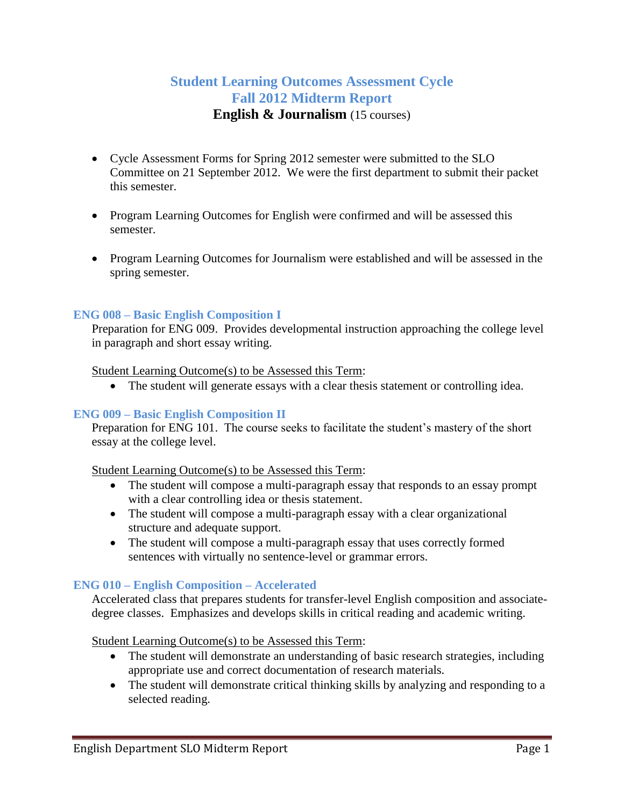# **Student Learning Outcomes Assessment Cycle Fall 2012 Midterm Report English & Journalism** (15 courses)

- Cycle Assessment Forms for Spring 2012 semester were submitted to the SLO Committee on 21 September 2012. We were the first department to submit their packet this semester.
- Program Learning Outcomes for English were confirmed and will be assessed this semester.
- Program Learning Outcomes for Journalism were established and will be assessed in the spring semester.

# **ENG 008 – Basic English Composition I**

Preparation for ENG 009. Provides developmental instruction approaching the college level in paragraph and short essay writing.

## Student Learning Outcome(s) to be Assessed this Term:

The student will generate essays with a clear thesis statement or controlling idea.

## **ENG 009 – Basic English Composition II**

Preparation for ENG 101. The course seeks to facilitate the student's mastery of the short essay at the college level.

## Student Learning Outcome(s) to be Assessed this Term:

- The student will compose a multi-paragraph essay that responds to an essay prompt with a clear controlling idea or thesis statement.
- The student will compose a multi-paragraph essay with a clear organizational structure and adequate support.
- The student will compose a multi-paragraph essay that uses correctly formed sentences with virtually no sentence-level or grammar errors.

## **ENG 010 – English Composition – Accelerated**

Accelerated class that prepares students for transfer-level English composition and associatedegree classes. Emphasizes and develops skills in critical reading and academic writing.

Student Learning Outcome(s) to be Assessed this Term:

- The student will demonstrate an understanding of basic research strategies, including appropriate use and correct documentation of research materials.
- The student will demonstrate critical thinking skills by analyzing and responding to a selected reading.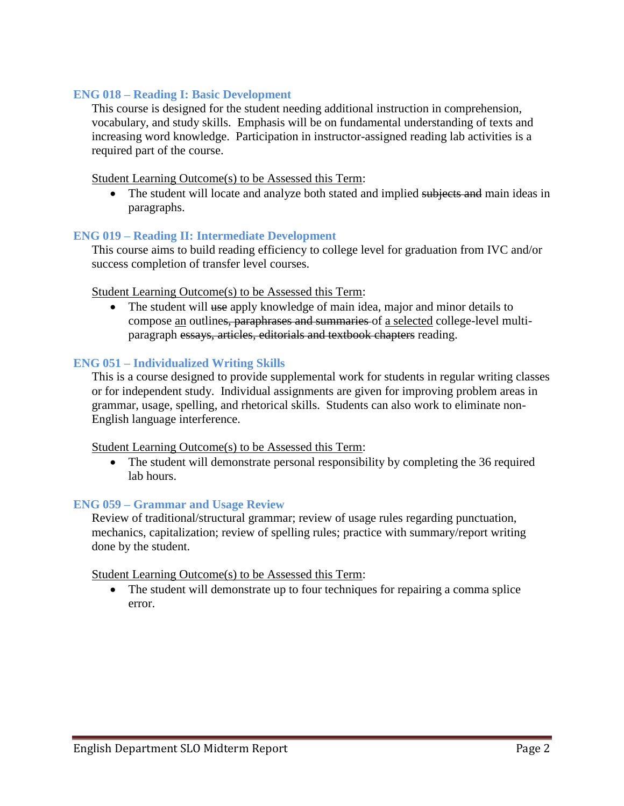# **ENG 018 – Reading I: Basic Development**

This course is designed for the student needing additional instruction in comprehension, vocabulary, and study skills. Emphasis will be on fundamental understanding of texts and increasing word knowledge. Participation in instructor-assigned reading lab activities is a required part of the course.

## Student Learning Outcome(s) to be Assessed this Term:

• The student will locate and analyze both stated and implied subjects and main ideas in paragraphs.

# **ENG 019 – Reading II: Intermediate Development**

This course aims to build reading efficiency to college level for graduation from IVC and/or success completion of transfer level courses.

## Student Learning Outcome(s) to be Assessed this Term:

• The student will use apply knowledge of main idea, major and minor details to compose an outlines, paraphrases and summaries of a selected college-level multiparagraph essays, articles, editorials and textbook chapters reading.

## **ENG 051 – Individualized Writing Skills**

This is a course designed to provide supplemental work for students in regular writing classes or for independent study. Individual assignments are given for improving problem areas in grammar, usage, spelling, and rhetorical skills. Students can also work to eliminate non-English language interference.

## Student Learning Outcome(s) to be Assessed this Term:

 The student will demonstrate personal responsibility by completing the 36 required lab hours.

## **ENG 059 – Grammar and Usage Review**

Review of traditional/structural grammar; review of usage rules regarding punctuation, mechanics, capitalization; review of spelling rules; practice with summary/report writing done by the student.

## Student Learning Outcome(s) to be Assessed this Term:

• The student will demonstrate up to four techniques for repairing a comma splice error.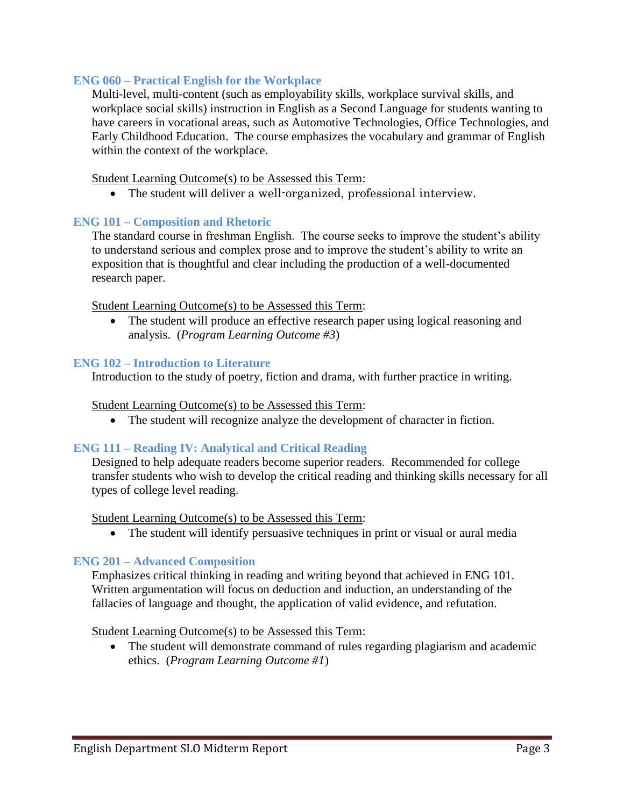# **ENG 060 – Practical English for the Workplace**

Multi-level, multi-content (such as employability skills, workplace survival skills, and workplace social skills) instruction in English as a Second Language for students wanting to have careers in vocational areas, such as Automotive Technologies, Office Technologies, and Early Childhood Education. The course emphasizes the vocabulary and grammar of English within the context of the workplace.

Student Learning Outcome(s) to be Assessed this Term:

The student will deliver a well-organized, professional interview.

## **ENG 101 – Composition and Rhetoric**

The standard course in freshman English. The course seeks to improve the student's ability to understand serious and complex prose and to improve the student's ability to write an exposition that is thoughtful and clear including the production of a well-documented research paper.

## Student Learning Outcome(s) to be Assessed this Term:

• The student will produce an effective research paper using logical reasoning and analysis. (*Program Learning Outcome #3*)

## **ENG 102 – Introduction to Literature**

Introduction to the study of poetry, fiction and drama, with further practice in writing.

#### Student Learning Outcome(s) to be Assessed this Term:

• The student will recognize analyze the development of character in fiction.

## **ENG 111 – Reading IV: Analytical and Critical Reading**

Designed to help adequate readers become superior readers. Recommended for college transfer students who wish to develop the critical reading and thinking skills necessary for all types of college level reading.

#### Student Learning Outcome(s) to be Assessed this Term:

The student will identify persuasive techniques in print or visual or aural media

## **ENG 201 – Advanced Composition**

Emphasizes critical thinking in reading and writing beyond that achieved in ENG 101. Written argumentation will focus on deduction and induction, an understanding of the fallacies of language and thought, the application of valid evidence, and refutation.

#### Student Learning Outcome(s) to be Assessed this Term:

 The student will demonstrate command of rules regarding plagiarism and academic ethics. (*Program Learning Outcome #1*)